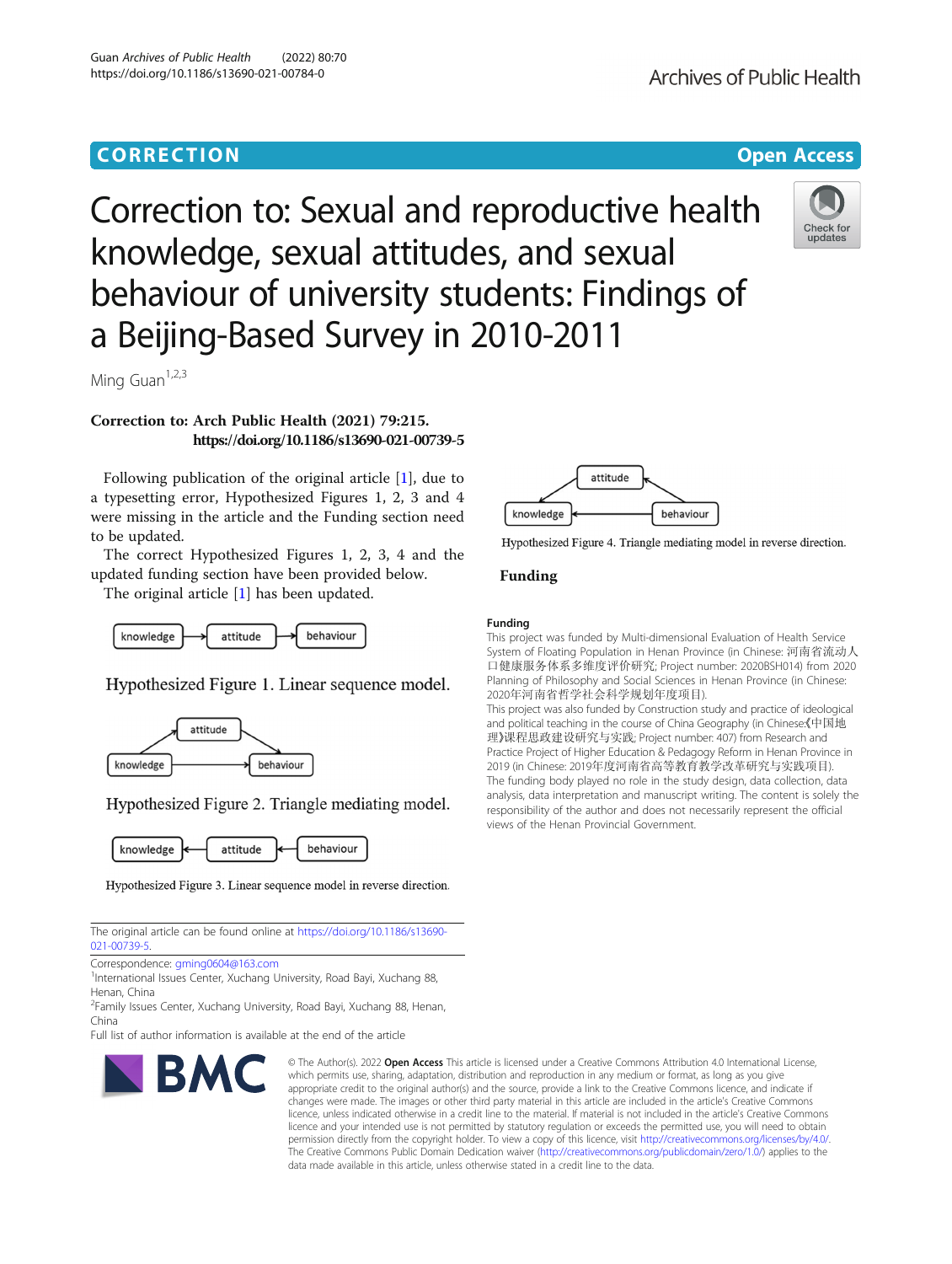## **CORRECTION CORRECTION CORRECTION**

# Correction to: Sexual and reproductive health knowledge, sexual attitudes, and sexual behaviour of university students: Findings of a Beijing-Based Survey in 2010-2011



Ming Guan $1,2,3$ 

### Correction to: Arch Public Health (2021) 79:215. https://doi.org/10.1186/s13690-021-00739-5

Following publication of the original article [\[1](#page-1-0)], due to a typesetting error, Hypothesized Figures 1, 2, 3 and 4 were missing in the article and the Funding section need to be updated.

The correct Hypothesized Figures 1, 2, 3, 4 and the updated funding section have been provided below.

The original article [\[1\]](#page-1-0) has been updated.



Hypothesized Figure 1. Linear sequence model.



Hypothesized Figure 2. Triangle mediating model.



Hypothesized Figure 3. Linear sequence model in reverse direction.

The original article can be found online at [https://doi.org/10.1186/s13690-](https://doi.org/10.1186/s13690-021-00739-5) [021-00739-5](https://doi.org/10.1186/s13690-021-00739-5).

Correspondence: [gming0604@163.com](mailto:gming0604@163.com) <sup>1</sup>

International Issues Center, Xuchang University, Road Bayi, Xuchang 88, Henan, China

<sup>2</sup> Family Issues Center, Xuchang University, Road Bayi, Xuchang 88, Henan, China

Full list of author information is available at the end of the article



Hypothesized Figure 4. Triangle mediating model in reverse direction.

#### Funding

#### Funding

This project was funded by Multi-dimensional Evaluation of Health Service System of Floating Population in Henan Province (in Chinese: 河南省流动人 口健康服务体系多维度评价研究; Project number: 2020BSH014) from 2020 Planning of Philosophy and Social Sciences in Henan Province (in Chinese: 2020年河南省哲学社会科学规划年度项目).

This project was also funded by Construction study and practice of ideological and political teaching in the course of China Geography (in Chinese《中国地 理》课程思政建设研究与实践; Project number: 407) from Research and Practice Project of Higher Education & Pedagogy Reform in Henan Province in 2019 (in Chinese: 2019年度河南省高等教育教学改革研究与实践项目). The funding body played no role in the study design, data collection, data analysis, data interpretation and manuscript writing. The content is solely the responsibility of the author and does not necessarily represent the official views of the Henan Provincial Government.

BMC

© The Author(s), 2022 **Open Access** This article is licensed under a Creative Commons Attribution 4.0 International License, which permits use, sharing, adaptation, distribution and reproduction in any medium or format, as long as you give appropriate credit to the original author(s) and the source, provide a link to the Creative Commons licence, and indicate if changes were made. The images or other third party material in this article are included in the article's Creative Commons licence, unless indicated otherwise in a credit line to the material. If material is not included in the article's Creative Commons licence and your intended use is not permitted by statutory regulation or exceeds the permitted use, you will need to obtain permission directly from the copyright holder. To view a copy of this licence, visit [http://creativecommons.org/licenses/by/4.0/.](http://creativecommons.org/licenses/by/4.0/) The Creative Commons Public Domain Dedication waiver [\(http://creativecommons.org/publicdomain/zero/1.0/](http://creativecommons.org/publicdomain/zero/1.0/)) applies to the data made available in this article, unless otherwise stated in a credit line to the data.